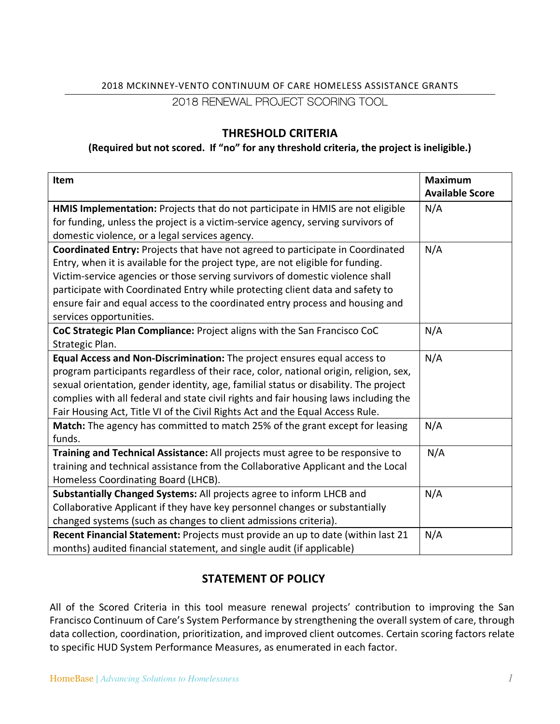# 2018 MCKINNEY-VENTO CONTINUUM OF CARE HOMELESS ASSISTANCE GRANTS

### 2018 RENEWAL PROJECT SCORING TOOL

### **THRESHOLD CRITERIA**

#### **(Required but not scored. If "no" for any threshold criteria, the project is ineligible.)**

| Item                                                                                  | <b>Maximum</b>         |
|---------------------------------------------------------------------------------------|------------------------|
|                                                                                       | <b>Available Score</b> |
| HMIS Implementation: Projects that do not participate in HMIS are not eligible        | N/A                    |
| for funding, unless the project is a victim-service agency, serving survivors of      |                        |
| domestic violence, or a legal services agency.                                        |                        |
| Coordinated Entry: Projects that have not agreed to participate in Coordinated        | N/A                    |
| Entry, when it is available for the project type, are not eligible for funding.       |                        |
| Victim-service agencies or those serving survivors of domestic violence shall         |                        |
| participate with Coordinated Entry while protecting client data and safety to         |                        |
| ensure fair and equal access to the coordinated entry process and housing and         |                        |
| services opportunities.                                                               |                        |
| CoC Strategic Plan Compliance: Project aligns with the San Francisco CoC              | N/A                    |
| Strategic Plan.                                                                       |                        |
| Equal Access and Non-Discrimination: The project ensures equal access to              | N/A                    |
| program participants regardless of their race, color, national origin, religion, sex, |                        |
| sexual orientation, gender identity, age, familial status or disability. The project  |                        |
| complies with all federal and state civil rights and fair housing laws including the  |                        |
| Fair Housing Act, Title VI of the Civil Rights Act and the Equal Access Rule.         |                        |
| Match: The agency has committed to match 25% of the grant except for leasing          | N/A                    |
| funds.                                                                                |                        |
| Training and Technical Assistance: All projects must agree to be responsive to        | N/A                    |
| training and technical assistance from the Collaborative Applicant and the Local      |                        |
| Homeless Coordinating Board (LHCB).                                                   |                        |
| Substantially Changed Systems: All projects agree to inform LHCB and                  | N/A                    |
| Collaborative Applicant if they have key personnel changes or substantially           |                        |
| changed systems (such as changes to client admissions criteria).                      |                        |
| Recent Financial Statement: Projects must provide an up to date (within last 21       | N/A                    |
| months) audited financial statement, and single audit (if applicable)                 |                        |

# **STATEMENT OF POLICY**

All of the Scored Criteria in this tool measure renewal projects' contribution to improving the San Francisco Continuum of Care's System Performance by strengthening the overall system of care, through data collection, coordination, prioritization, and improved client outcomes. Certain scoring factors relate to specific HUD System Performance Measures, as enumerated in each factor.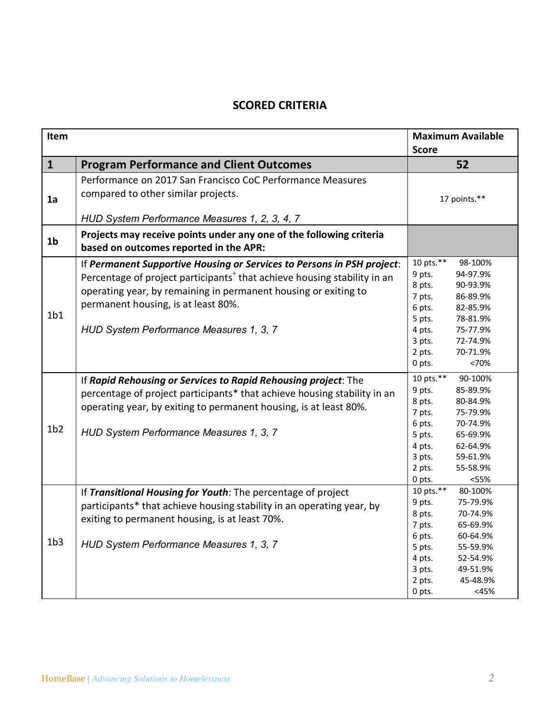## **SCORED CRITERIA**

| Item            |                                                                                                                                                                                                                                                                                                                     | <b>Maximum Available</b><br><b>Score</b>                                                                                                                                                                                  |
|-----------------|---------------------------------------------------------------------------------------------------------------------------------------------------------------------------------------------------------------------------------------------------------------------------------------------------------------------|---------------------------------------------------------------------------------------------------------------------------------------------------------------------------------------------------------------------------|
| $\mathbf{1}$    | <b>Program Performance and Client Outcomes</b>                                                                                                                                                                                                                                                                      | 52                                                                                                                                                                                                                        |
| 1a              | Performance on 2017 San Francisco CoC Performance Measures<br>compared to other similar projects.<br>HUD System Performance Measures 1, 2, 3, 4, 7                                                                                                                                                                  | 17 points.**                                                                                                                                                                                                              |
| 1 <sub>b</sub>  | Projects may receive points under any one of the following criteria<br>based on outcomes reported in the APR:                                                                                                                                                                                                       |                                                                                                                                                                                                                           |
| 1 <sub>b1</sub> | If Permanent Supportive Housing or Services to Persons in PSH project:<br>Percentage of project participants <sup>*</sup> that achieve housing stability in an<br>operating year, by remaining in permanent housing or exiting to<br>permanent housing, is at least 80%.<br>HUD System Performance Measures 1, 3, 7 | 10 pts.**<br>98-100%<br>9 pts.<br>94-97.9%<br>8 pts.<br>90-93.9%<br>7 pts.<br>86-89.9%<br>6 pts.<br>82-85.9%<br>5 pts.<br>78-81.9%<br>4 pts.<br>75-77.9%<br>3 pts.<br>72-74.9%<br>70-71.9%<br>2 pts.<br><70%<br>0 pts.    |
| 1 <sub>b2</sub> | If Rapid Rehousing or Services to Rapid Rehousing project: The<br>percentage of project participants* that achieve housing stability in an<br>operating year, by exiting to permanent housing, is at least 80%.<br>HUD System Performance Measures 1, 3, 7                                                          | 10 pts.**<br>90-100%<br>9 pts.<br>85-89.9%<br>8 pts.<br>80-84.9%<br>7 pts.<br>75-79.9%<br>6 pts.<br>70-74.9%<br>5 pts.<br>65-69.9%<br>4 pts.<br>62-64.9%<br>3 pts.<br>59-61.9%<br>2 pts.<br>55-58.9%<br>0 pts.<br><55%    |
| 1 <sub>b3</sub> | If Transitional Housing for Youth: The percentage of project<br>participants* that achieve housing stability in an operating year, by<br>exiting to permanent housing, is at least 70%.<br>HUD System Performance Measures 1, 3, 7                                                                                  | 10 pts.**<br>80-100%<br>9 pts.<br>75-79.9%<br>8 pts.<br>70-74.9%<br>7 pts.<br>65-69.9%<br>6 pts.<br>60-64.9%<br>5 pts.<br>55-59.9%<br>4 pts.<br>52-54.9%<br>3 pts.<br>49-51.9%<br>45-48.9%<br>2 pts.<br>0 pts.<br>$<$ 45% |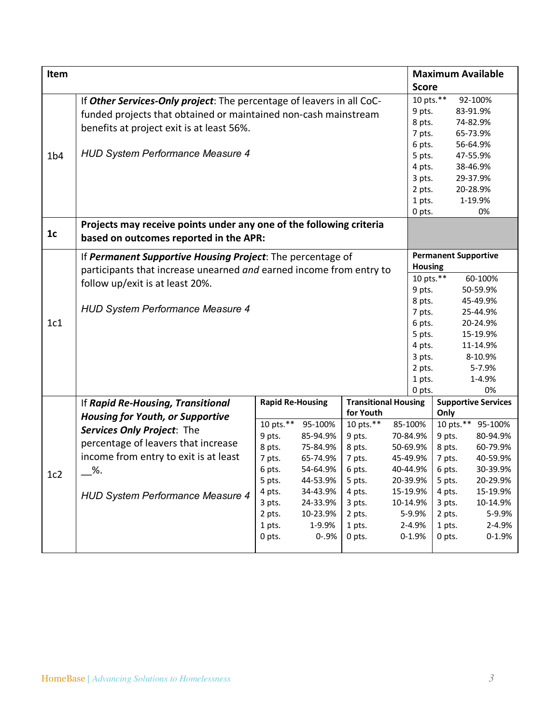| Item            |                                                                                                                                                                                       |                                                                                                               |                                                                                                                               |                                                                                                               |                                                                                                                               | <b>Maximum Available</b>                                                                                                                                                                                        |                                |
|-----------------|---------------------------------------------------------------------------------------------------------------------------------------------------------------------------------------|---------------------------------------------------------------------------------------------------------------|-------------------------------------------------------------------------------------------------------------------------------|---------------------------------------------------------------------------------------------------------------|-------------------------------------------------------------------------------------------------------------------------------|-----------------------------------------------------------------------------------------------------------------------------------------------------------------------------------------------------------------|--------------------------------|
|                 |                                                                                                                                                                                       |                                                                                                               |                                                                                                                               |                                                                                                               | <b>Score</b>                                                                                                                  |                                                                                                                                                                                                                 |                                |
|                 | If Other Services-Only project: The percentage of leavers in all CoC-<br>funded projects that obtained or maintained non-cash mainstream<br>benefits at project exit is at least 56%. |                                                                                                               |                                                                                                                               |                                                                                                               | 10 pts.**<br>9 pts.<br>8 pts.<br>7 pts.                                                                                       | 92-100%<br>83-91.9%<br>74-82.9%<br>65-73.9%                                                                                                                                                                     |                                |
| 1 <sub>b4</sub> | <b>HUD System Performance Measure 4</b>                                                                                                                                               |                                                                                                               |                                                                                                                               |                                                                                                               | 6 pts.<br>5 pts.<br>4 pts.<br>3 pts.<br>2 pts.<br>1 pts.<br>0 pts.                                                            | 56-64.9%<br>47-55.9%<br>38-46.9%<br>29-37.9%<br>20-28.9%<br>1-19.9%<br>0%                                                                                                                                       |                                |
| 1 <sub>c</sub>  | Projects may receive points under any one of the following criteria<br>based on outcomes reported in the APR:                                                                         |                                                                                                               |                                                                                                                               |                                                                                                               |                                                                                                                               |                                                                                                                                                                                                                 |                                |
|                 | If Permanent Supportive Housing Project: The percentage of<br>participants that increase unearned and earned income from entry to                                                     |                                                                                                               |                                                                                                                               | <b>Housing</b>                                                                                                | <b>Permanent Supportive</b>                                                                                                   |                                                                                                                                                                                                                 |                                |
|                 | follow up/exit is at least 20%.                                                                                                                                                       |                                                                                                               |                                                                                                                               |                                                                                                               | 10 pts.**<br>9 pts.<br>8 pts.                                                                                                 | 60-100%<br>50-59.9%<br>45-49.9%                                                                                                                                                                                 |                                |
| 1c1             | <b>HUD System Performance Measure 4</b>                                                                                                                                               |                                                                                                               | 7 pts.<br>6 pts.<br>5 pts.<br>4 pts.<br>3 pts.<br>2 pts.                                                                      | 25-44.9%<br>20-24.9%<br>15-19.9%<br>11-14.9%<br>8-10.9%<br>5-7.9%                                             |                                                                                                                               |                                                                                                                                                                                                                 |                                |
|                 |                                                                                                                                                                                       |                                                                                                               |                                                                                                                               |                                                                                                               | 1 pts.<br>0 pts.                                                                                                              | 1-4.9%<br>0%                                                                                                                                                                                                    |                                |
|                 | If Rapid Re-Housing, Transitional<br><b>Housing for Youth, or Supportive</b>                                                                                                          | <b>Rapid Re-Housing</b>                                                                                       |                                                                                                                               | <b>Transitional Housing</b><br>for Youth                                                                      |                                                                                                                               | <b>Supportive Services</b><br>Only                                                                                                                                                                              |                                |
| 1c2             | Services Only Project: The<br>percentage of leavers that increase<br>income from entry to exit is at least<br>%.<br><b>HUD System Performance Measure 4</b>                           | 10 pts.**<br>9 pts.<br>8 pts.<br>7 pts.<br>6 pts.<br>5 pts.<br>4 pts.<br>3 pts.<br>2 pts.<br>1 pts.<br>0 pts. | 95-100%<br>85-94.9%<br>75-84.9%<br>65-74.9%<br>54-64.9%<br>44-53.9%<br>34-43.9%<br>24-33.9%<br>10-23.9%<br>1-9.9%<br>$0 - 9%$ | 10 pts.**<br>9 pts.<br>8 pts.<br>7 pts.<br>6 pts.<br>5 pts.<br>4 pts.<br>3 pts.<br>2 pts.<br>1 pts.<br>0 pts. | 85-100%<br>70-84.9%<br>50-69.9%<br>45-49.9%<br>40-44.9%<br>20-39.9%<br>15-19.9%<br>10-14.9%<br>5-9.9%<br>2-4.9%<br>$0 - 1.9%$ | 10 pts. $**$<br>95-100%<br>9 pts.<br>80-94.9%<br>8 pts.<br>60-79.9%<br>7 pts.<br>40-59.9%<br>30-39.9%<br>6 pts.<br>5 pts.<br>20-29.9%<br>4 pts.<br>15-19.9%<br>10-14.9%<br>3 pts.<br>2 pts.<br>1 pts.<br>0 pts. | 5-9.9%<br>2-4.9%<br>$0 - 1.9%$ |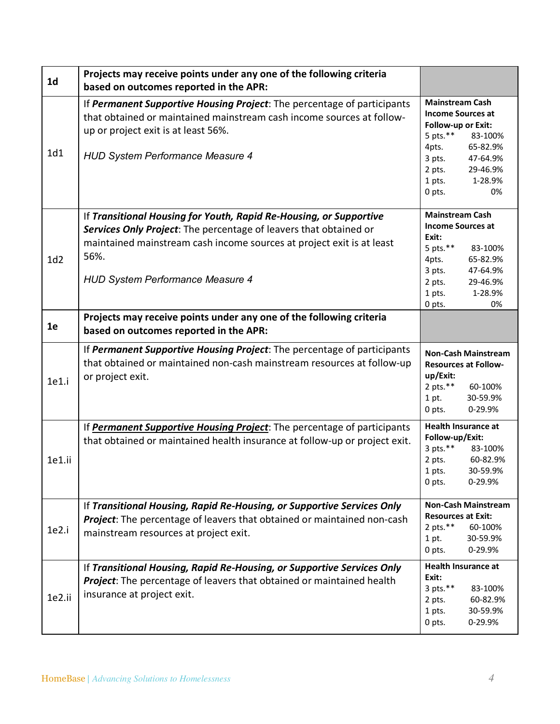| 1 <sub>d</sub> | Projects may receive points under any one of the following criteria<br>based on outcomes reported in the APR:                                                                                                                                                       |                                                                                                                                                                                                           |
|----------------|---------------------------------------------------------------------------------------------------------------------------------------------------------------------------------------------------------------------------------------------------------------------|-----------------------------------------------------------------------------------------------------------------------------------------------------------------------------------------------------------|
| 1d1            | If Permanent Supportive Housing Project: The percentage of participants<br>that obtained or maintained mainstream cash income sources at follow-<br>up or project exit is at least 56%.<br><b>HUD System Performance Measure 4</b>                                  | <b>Mainstream Cash</b><br><b>Income Sources at</b><br>Follow-up or Exit:<br>5 pts. $***$<br>83-100%<br>4pts.<br>65-82.9%<br>3 pts.<br>47-64.9%<br>2 pts.<br>29-46.9%<br>1 pts.<br>1-28.9%<br>0 pts.<br>0% |
| 1d2            | If Transitional Housing for Youth, Rapid Re-Housing, or Supportive<br>Services Only Project: The percentage of leavers that obtained or<br>maintained mainstream cash income sources at project exit is at least<br>56%.<br><b>HUD System Performance Measure 4</b> | <b>Mainstream Cash</b><br><b>Income Sources at</b><br>Exit:<br>5 pts. $**$<br>83-100%<br>65-82.9%<br>4pts.<br>3 pts.<br>47-64.9%<br>2 pts.<br>29-46.9%<br>1 pts.<br>1-28.9%<br>0 pts.<br>0%               |
| 1e             | Projects may receive points under any one of the following criteria<br>based on outcomes reported in the APR:                                                                                                                                                       |                                                                                                                                                                                                           |
| 1e1.i          | If Permanent Supportive Housing Project: The percentage of participants<br>that obtained or maintained non-cash mainstream resources at follow-up<br>or project exit.                                                                                               | <b>Non-Cash Mainstream</b><br><b>Resources at Follow-</b><br>up/Exit:<br>2 pts. $**$<br>60-100%<br>1 pt.<br>30-59.9%<br>0-29.9%<br>0 pts.                                                                 |
| 1e1.ii         | If Permanent Supportive Housing Project: The percentage of participants<br>that obtained or maintained health insurance at follow-up or project exit.                                                                                                               | <b>Health Insurance at</b><br>Follow-up/Exit:<br>$3$ pts.**<br>83-100%<br>2 pts.<br>60-82.9%<br>30-59.9%<br>1 pts.<br>0 pts.<br>$0 - 29.9%$                                                               |
| 1e2.i          | If Transitional Housing, Rapid Re-Housing, or Supportive Services Only<br><b>Project:</b> The percentage of leavers that obtained or maintained non-cash<br>mainstream resources at project exit.                                                                   | <b>Non-Cash Mainstream</b><br><b>Resources at Exit:</b><br>2 pts. $***$<br>60-100%<br>1 pt.<br>30-59.9%<br>0 pts.<br>0-29.9%                                                                              |
| 1e2.ii         | If Transitional Housing, Rapid Re-Housing, or Supportive Services Only<br>Project: The percentage of leavers that obtained or maintained health<br>insurance at project exit.                                                                                       | Health Insurance at<br>Exit:<br>$3$ pts.**<br>83-100%<br>60-82.9%<br>2 pts.<br>1 pts.<br>30-59.9%<br>0 pts.<br>0-29.9%                                                                                    |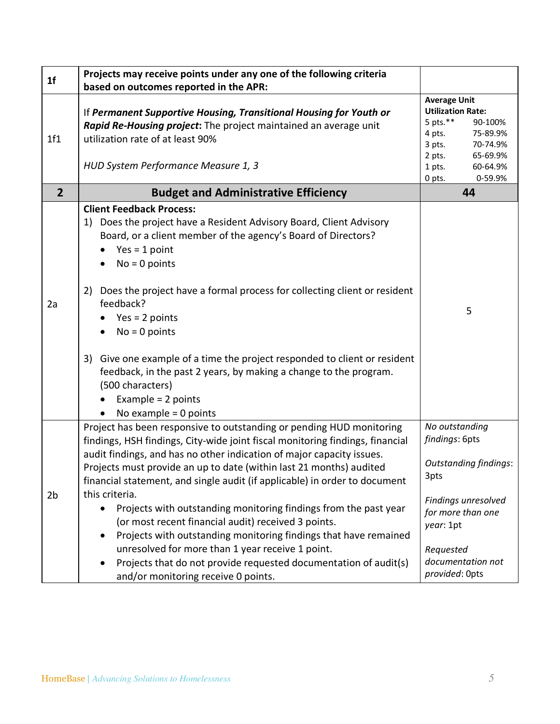| 1 <sub>f</sub> | Projects may receive points under any one of the following criteria<br>based on outcomes reported in the APR:                                                                                                                                                                                                                                                                                                                                                                                                                                                                                                                                                                                                                                                       |                                                                                                                                                                                         |
|----------------|---------------------------------------------------------------------------------------------------------------------------------------------------------------------------------------------------------------------------------------------------------------------------------------------------------------------------------------------------------------------------------------------------------------------------------------------------------------------------------------------------------------------------------------------------------------------------------------------------------------------------------------------------------------------------------------------------------------------------------------------------------------------|-----------------------------------------------------------------------------------------------------------------------------------------------------------------------------------------|
| 1f1            | If Permanent Supportive Housing, Transitional Housing for Youth or<br>Rapid Re-Housing project: The project maintained an average unit<br>utilization rate of at least 90%<br>HUD System Performance Measure 1, 3                                                                                                                                                                                                                                                                                                                                                                                                                                                                                                                                                   | <b>Average Unit</b><br><b>Utilization Rate:</b><br>5 pts.**<br>90-100%<br>4 pts.<br>75-89.9%<br>70-74.9%<br>$3$ pts.<br>$2$ pts.<br>65-69.9%<br>1 pts.<br>60-64.9%<br>0-59.9%<br>0 pts. |
| $\overline{2}$ | <b>Budget and Administrative Efficiency</b>                                                                                                                                                                                                                                                                                                                                                                                                                                                                                                                                                                                                                                                                                                                         | 44                                                                                                                                                                                      |
| 2a             | <b>Client Feedback Process:</b><br>1) Does the project have a Resident Advisory Board, Client Advisory<br>Board, or a client member of the agency's Board of Directors?<br>$Yes = 1 point$<br>$No = 0$ points<br>2) Does the project have a formal process for collecting client or resident<br>feedback?<br>$Yes = 2 points$<br>$No = 0$ points<br>3) Give one example of a time the project responded to client or resident<br>feedback, in the past 2 years, by making a change to the program.<br>(500 characters)<br>Example = $2$ points<br>No example $= 0$ points                                                                                                                                                                                           | 5                                                                                                                                                                                       |
| 2b             | Project has been responsive to outstanding or pending HUD monitoring<br>findings, HSH findings, City-wide joint fiscal monitoring findings, financial<br>audit findings, and has no other indication of major capacity issues.<br>Projects must provide an up to date (within last 21 months) audited<br>financial statement, and single audit (if applicable) in order to document<br>this criteria.<br>Projects with outstanding monitoring findings from the past year<br>(or most recent financial audit) received 3 points.<br>Projects with outstanding monitoring findings that have remained<br>unresolved for more than 1 year receive 1 point.<br>Projects that do not provide requested documentation of audit(s)<br>and/or monitoring receive 0 points. | No outstanding<br>findings: 6pts<br><b>Outstanding findings:</b><br>3pts<br>Findings unresolved<br>for more than one<br>year: 1pt<br>Requested<br>documentation not<br>provided: Opts   |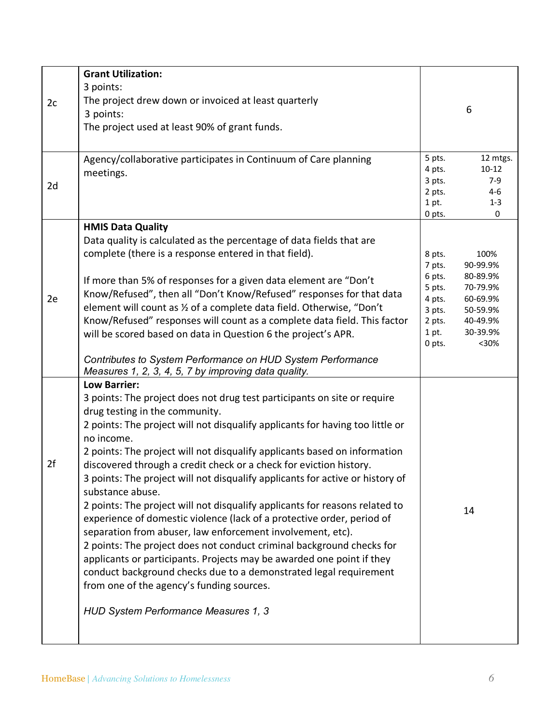|    | <b>Grant Utilization:</b>                                                                                           |                  |                       |
|----|---------------------------------------------------------------------------------------------------------------------|------------------|-----------------------|
| 2c | 3 points:<br>The project drew down or invoiced at least quarterly                                                   |                  |                       |
|    | 3 points:                                                                                                           |                  | 6                     |
|    | The project used at least 90% of grant funds.                                                                       |                  |                       |
|    |                                                                                                                     |                  |                       |
|    | Agency/collaborative participates in Continuum of Care planning                                                     | 5 pts.<br>4 pts. | 12 mtgs.<br>$10 - 12$ |
|    | meetings.                                                                                                           | 3 pts.           | $7-9$                 |
| 2d |                                                                                                                     | 2 pts.           | 4-6                   |
|    |                                                                                                                     | 1 pt.            | $1 - 3$               |
|    | <b>HMIS Data Quality</b>                                                                                            | 0 pts.           | $\mathbf 0$           |
|    | Data quality is calculated as the percentage of data fields that are                                                |                  |                       |
|    | complete (there is a response entered in that field).                                                               | 8 pts.           | 100%                  |
|    |                                                                                                                     | 7 pts.           | 90-99.9%              |
|    | If more than 5% of responses for a given data element are "Don't                                                    | 6 pts.           | 80-89.9%              |
| 2e | Know/Refused", then all "Don't Know/Refused" responses for that data                                                | 5 pts.<br>4 pts. | 70-79.9%<br>60-69.9%  |
|    | element will count as 1/2 of a complete data field. Otherwise, "Don't                                               | 3 pts.           | 50-59.9%              |
|    | Know/Refused" responses will count as a complete data field. This factor                                            | 2 pts.           | 40-49.9%              |
|    | will be scored based on data in Question 6 the project's APR.                                                       | 1 pt.            | 30-39.9%              |
|    |                                                                                                                     | 0 pts.           | $30%$                 |
|    | Contributes to System Performance on HUD System Performance<br>Measures 1, 2, 3, 4, 5, 7 by improving data quality. |                  |                       |
|    | <b>Low Barrier:</b>                                                                                                 |                  |                       |
|    | 3 points: The project does not drug test participants on site or require                                            |                  |                       |
|    | drug testing in the community.                                                                                      |                  |                       |
|    | 2 points: The project will not disqualify applicants for having too little or<br>no income.                         |                  |                       |
|    | 2 points: The project will not disqualify applicants based on information                                           |                  |                       |
| 2f | discovered through a credit check or a check for eviction history.                                                  |                  |                       |
|    | 3 points: The project will not disqualify applicants for active or history of                                       |                  |                       |
|    | substance abuse.                                                                                                    |                  |                       |
|    | 2 points: The project will not disqualify applicants for reasons related to                                         |                  | 14                    |
|    | experience of domestic violence (lack of a protective order, period of                                              |                  |                       |
|    | separation from abuser, law enforcement involvement, etc).                                                          |                  |                       |
|    | 2 points: The project does not conduct criminal background checks for                                               |                  |                       |
|    | applicants or participants. Projects may be awarded one point if they                                               |                  |                       |
|    | conduct background checks due to a demonstrated legal requirement                                                   |                  |                       |
|    | from one of the agency's funding sources.                                                                           |                  |                       |
|    | HUD System Performance Measures 1, 3                                                                                |                  |                       |
|    |                                                                                                                     |                  |                       |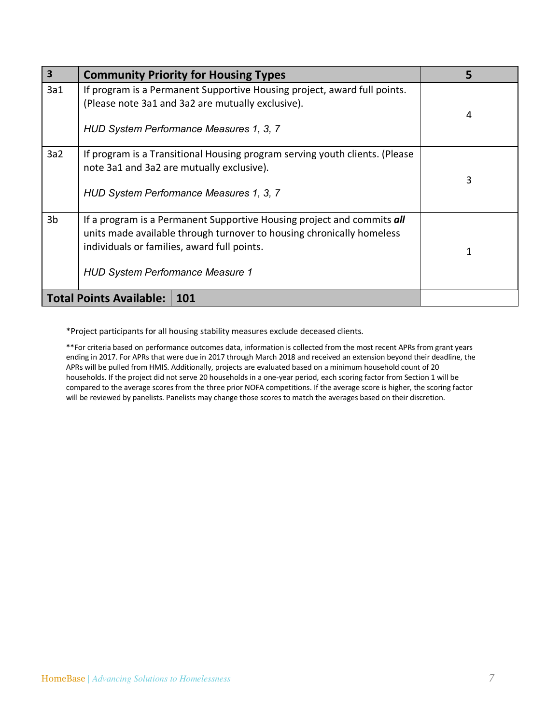| $\overline{\mathbf{3}}$ | <b>Community Priority for Housing Types</b>                                                                                                                                                                                               | 5 |
|-------------------------|-------------------------------------------------------------------------------------------------------------------------------------------------------------------------------------------------------------------------------------------|---|
| 3a1                     | If program is a Permanent Supportive Housing project, award full points.<br>(Please note 3a1 and 3a2 are mutually exclusive).<br>HUD System Performance Measures 1, 3, 7                                                                  | 4 |
| 3a2                     | If program is a Transitional Housing program serving youth clients. (Please<br>note 3a1 and 3a2 are mutually exclusive).<br>HUD System Performance Measures 1, 3, 7                                                                       | 3 |
| 3 <sub>b</sub>          | If a program is a Permanent Supportive Housing project and commits all<br>units made available through turnover to housing chronically homeless<br>individuals or families, award full points.<br><b>HUD System Performance Measure 1</b> | 1 |
|                         | <b>Total Points Available:   101</b>                                                                                                                                                                                                      |   |

\*Project participants for all housing stability measures exclude deceased clients.

\*\*For criteria based on performance outcomes data, information is collected from the most recent APRs from grant years ending in 2017. For APRs that were due in 2017 through March 2018 and received an extension beyond their deadline, the APRs will be pulled from HMIS. Additionally, projects are evaluated based on a minimum household count of 20 households. If the project did not serve 20 households in a one-year period, each scoring factor from Section 1 will be compared to the average scores from the three prior NOFA competitions. If the average score is higher, the scoring factor will be reviewed by panelists. Panelists may change those scores to match the averages based on their discretion.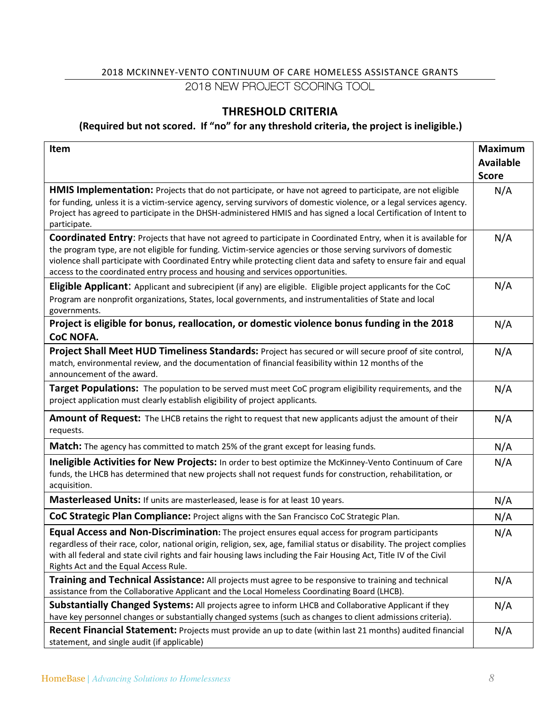### 2018 MCKINNEY-VENTO CONTINUUM OF CARE HOMELESS ASSISTANCE GRANTS 2018 NEW PROJECT SCORING TOOL

### **THRESHOLD CRITERIA**

#### **(Required but not scored. If "no" for any threshold criteria, the project is ineligible.)**

| Item                                                                                                                                                                                                                                                                                                                                                                                                                                      | <b>Maximum</b>   |
|-------------------------------------------------------------------------------------------------------------------------------------------------------------------------------------------------------------------------------------------------------------------------------------------------------------------------------------------------------------------------------------------------------------------------------------------|------------------|
|                                                                                                                                                                                                                                                                                                                                                                                                                                           | <b>Available</b> |
|                                                                                                                                                                                                                                                                                                                                                                                                                                           | <b>Score</b>     |
| <b>HMIS Implementation:</b> Projects that do not participate, or have not agreed to participate, are not eligible<br>for funding, unless it is a victim-service agency, serving survivors of domestic violence, or a legal services agency.<br>Project has agreed to participate in the DHSH-administered HMIS and has signed a local Certification of Intent to<br>participate.                                                          | N/A              |
| Coordinated Entry: Projects that have not agreed to participate in Coordinated Entry, when it is available for<br>the program type, are not eligible for funding. Victim-service agencies or those serving survivors of domestic<br>violence shall participate with Coordinated Entry while protecting client data and safety to ensure fair and equal<br>access to the coordinated entry process and housing and services opportunities. | N/A              |
| Eligible Applicant: Applicant and subrecipient (if any) are eligible. Eligible project applicants for the CoC<br>Program are nonprofit organizations, States, local governments, and instrumentalities of State and local<br>governments.                                                                                                                                                                                                 | N/A              |
| Project is eligible for bonus, reallocation, or domestic violence bonus funding in the 2018<br><b>CoC NOFA.</b>                                                                                                                                                                                                                                                                                                                           | N/A              |
| Project Shall Meet HUD Timeliness Standards: Project has secured or will secure proof of site control,<br>match, environmental review, and the documentation of financial feasibility within 12 months of the<br>announcement of the award.                                                                                                                                                                                               | N/A              |
| Target Populations: The population to be served must meet CoC program eligibility requirements, and the<br>project application must clearly establish eligibility of project applicants.                                                                                                                                                                                                                                                  | N/A              |
| Amount of Request: The LHCB retains the right to request that new applicants adjust the amount of their<br>requests.                                                                                                                                                                                                                                                                                                                      | N/A              |
| <b>Match:</b> The agency has committed to match 25% of the grant except for leasing funds.                                                                                                                                                                                                                                                                                                                                                | N/A              |
| Ineligible Activities for New Projects: In order to best optimize the McKinney-Vento Continuum of Care<br>funds, the LHCB has determined that new projects shall not request funds for construction, rehabilitation, or<br>acquisition.                                                                                                                                                                                                   | N/A              |
| Masterleased Units: If units are masterleased, lease is for at least 10 years.                                                                                                                                                                                                                                                                                                                                                            | N/A              |
| CoC Strategic Plan Compliance: Project aligns with the San Francisco CoC Strategic Plan.                                                                                                                                                                                                                                                                                                                                                  | N/A              |
| Equal Access and Non-Discrimination: The project ensures equal access for program participants<br>regardless of their race, color, national origin, religion, sex, age, familial status or disability. The project complies<br>with all federal and state civil rights and fair housing laws including the Fair Housing Act, Title IV of the Civil<br>Rights Act and the Equal Access Rule.                                               | N/A              |
| Training and Technical Assistance: All projects must agree to be responsive to training and technical<br>assistance from the Collaborative Applicant and the Local Homeless Coordinating Board (LHCB).                                                                                                                                                                                                                                    | N/A              |
| Substantially Changed Systems: All projects agree to inform LHCB and Collaborative Applicant if they<br>have key personnel changes or substantially changed systems (such as changes to client admissions criteria).                                                                                                                                                                                                                      | N/A              |
| Recent Financial Statement: Projects must provide an up to date (within last 21 months) audited financial<br>statement, and single audit (if applicable)                                                                                                                                                                                                                                                                                  | N/A              |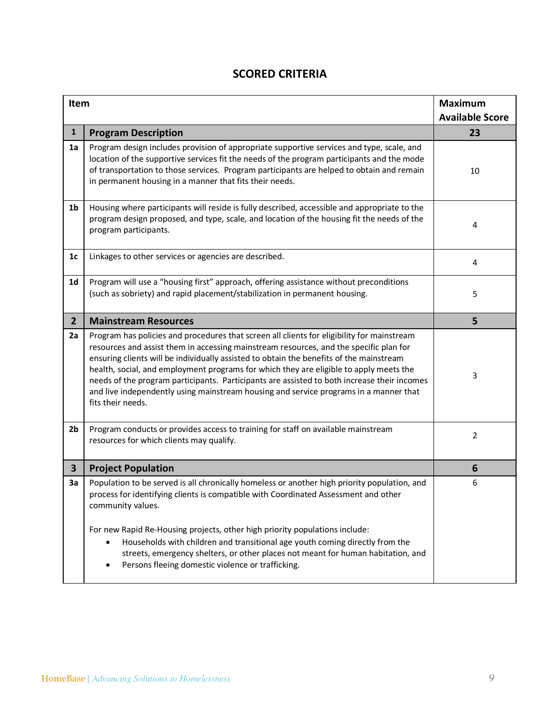| Item           |                                                                                                                                                                                                                                                                                                                                                                                                                                                                                                                                                                                        | <b>Maximum</b><br><b>Available Score</b> |
|----------------|----------------------------------------------------------------------------------------------------------------------------------------------------------------------------------------------------------------------------------------------------------------------------------------------------------------------------------------------------------------------------------------------------------------------------------------------------------------------------------------------------------------------------------------------------------------------------------------|------------------------------------------|
| $\mathbf{1}$   | <b>Program Description</b>                                                                                                                                                                                                                                                                                                                                                                                                                                                                                                                                                             | 23                                       |
| 1a             | Program design includes provision of appropriate supportive services and type, scale, and<br>location of the supportive services fit the needs of the program participants and the mode<br>of transportation to those services. Program participants are helped to obtain and remain<br>in permanent housing in a manner that fits their needs.                                                                                                                                                                                                                                        | 10                                       |
| 1 <sub>b</sub> | Housing where participants will reside is fully described, accessible and appropriate to the<br>program design proposed, and type, scale, and location of the housing fit the needs of the<br>program participants.                                                                                                                                                                                                                                                                                                                                                                    | 4                                        |
| 1 <sub>c</sub> | Linkages to other services or agencies are described.                                                                                                                                                                                                                                                                                                                                                                                                                                                                                                                                  | 4                                        |
| 1 <sub>d</sub> | Program will use a "housing first" approach, offering assistance without preconditions<br>(such as sobriety) and rapid placement/stabilization in permanent housing.                                                                                                                                                                                                                                                                                                                                                                                                                   | 5                                        |
| $\overline{2}$ | <b>Mainstream Resources</b>                                                                                                                                                                                                                                                                                                                                                                                                                                                                                                                                                            | 5                                        |
| 2a             | Program has policies and procedures that screen all clients for eligibility for mainstream<br>resources and assist them in accessing mainstream resources, and the specific plan for<br>ensuring clients will be individually assisted to obtain the benefits of the mainstream<br>health, social, and employment programs for which they are eligible to apply meets the<br>needs of the program participants. Participants are assisted to both increase their incomes<br>and live independently using mainstream housing and service programs in a manner that<br>fits their needs. | 3                                        |
| 2b             | Program conducts or provides access to training for staff on available mainstream<br>resources for which clients may qualify.                                                                                                                                                                                                                                                                                                                                                                                                                                                          | 2                                        |
| $\mathbf{3}$   | <b>Project Population</b>                                                                                                                                                                                                                                                                                                                                                                                                                                                                                                                                                              | 6                                        |
| 3a             | Population to be served is all chronically homeless or another high priority population, and<br>process for identifying clients is compatible with Coordinated Assessment and other<br>community values.<br>For new Rapid Re-Housing projects, other high priority populations include:<br>Households with children and transitional age youth coming directly from the<br>streets, emergency shelters, or other places not meant for human habitation, and<br>Persons fleeing domestic violence or trafficking.                                                                       | 6                                        |

### **SCORED CRITERIA**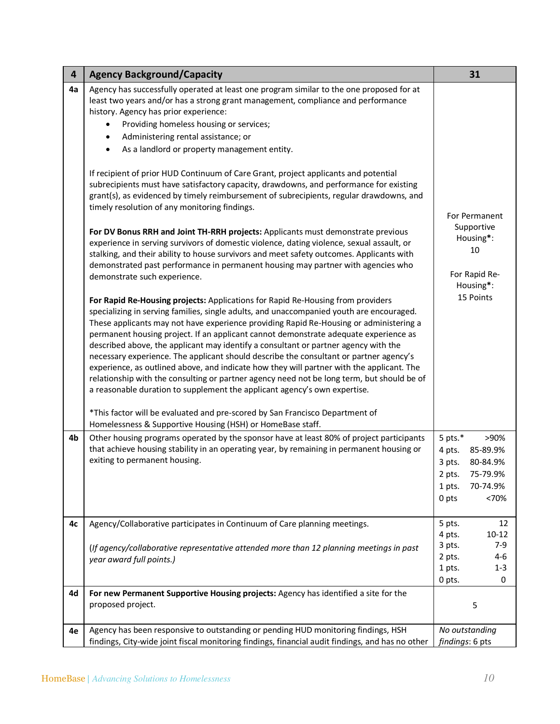| 4  | <b>Agency Background/Capacity</b>                                                                                                                                                                                                                                                                                                                                                                                                                                                                                                                                                                                                                                                                                                                                                                                                                                                                                                                                                                                                                                                                                                                                                                                                                                                                                                                                                                                                                                                                                                                                                                                                                                                                                                                                                                                                                                                                                                                                                                                                                                                            | 31                                                                                                                          |
|----|----------------------------------------------------------------------------------------------------------------------------------------------------------------------------------------------------------------------------------------------------------------------------------------------------------------------------------------------------------------------------------------------------------------------------------------------------------------------------------------------------------------------------------------------------------------------------------------------------------------------------------------------------------------------------------------------------------------------------------------------------------------------------------------------------------------------------------------------------------------------------------------------------------------------------------------------------------------------------------------------------------------------------------------------------------------------------------------------------------------------------------------------------------------------------------------------------------------------------------------------------------------------------------------------------------------------------------------------------------------------------------------------------------------------------------------------------------------------------------------------------------------------------------------------------------------------------------------------------------------------------------------------------------------------------------------------------------------------------------------------------------------------------------------------------------------------------------------------------------------------------------------------------------------------------------------------------------------------------------------------------------------------------------------------------------------------------------------------|-----------------------------------------------------------------------------------------------------------------------------|
| 4a | Agency has successfully operated at least one program similar to the one proposed for at<br>least two years and/or has a strong grant management, compliance and performance<br>history. Agency has prior experience:<br>Providing homeless housing or services;<br>٠<br>Administering rental assistance; or<br>$\bullet$<br>As a landlord or property management entity.<br>$\bullet$<br>If recipient of prior HUD Continuum of Care Grant, project applicants and potential<br>subrecipients must have satisfactory capacity, drawdowns, and performance for existing<br>grant(s), as evidenced by timely reimbursement of subrecipients, regular drawdowns, and<br>timely resolution of any monitoring findings.<br>For DV Bonus RRH and Joint TH-RRH projects: Applicants must demonstrate previous<br>experience in serving survivors of domestic violence, dating violence, sexual assault, or<br>stalking, and their ability to house survivors and meet safety outcomes. Applicants with<br>demonstrated past performance in permanent housing may partner with agencies who<br>demonstrate such experience.<br>For Rapid Re-Housing projects: Applications for Rapid Re-Housing from providers<br>specializing in serving families, single adults, and unaccompanied youth are encouraged.<br>These applicants may not have experience providing Rapid Re-Housing or administering a<br>permanent housing project. If an applicant cannot demonstrate adequate experience as<br>described above, the applicant may identify a consultant or partner agency with the<br>necessary experience. The applicant should describe the consultant or partner agency's<br>experience, as outlined above, and indicate how they will partner with the applicant. The<br>relationship with the consulting or partner agency need not be long term, but should be of<br>a reasonable duration to supplement the applicant agency's own expertise.<br>*This factor will be evaluated and pre-scored by San Francisco Department of<br>Homelessness & Supportive Housing (HSH) or HomeBase staff. | For Permanent<br>Supportive<br>Housing*:<br>10<br>For Rapid Re-<br>Housing*:<br>15 Points                                   |
| 4b | Other housing programs operated by the sponsor have at least 80% of project participants<br>that achieve housing stability in an operating year, by remaining in permanent housing or<br>exiting to permanent housing.                                                                                                                                                                                                                                                                                                                                                                                                                                                                                                                                                                                                                                                                                                                                                                                                                                                                                                                                                                                                                                                                                                                                                                                                                                                                                                                                                                                                                                                                                                                                                                                                                                                                                                                                                                                                                                                                       | 5 pts. $*$<br>>90%<br>4 pts.<br>85-89.9%<br>80-84.9%<br>3 pts.<br>75-79.9%<br>2 pts.<br>1 pts.<br>70-74.9%<br>0 pts<br><70% |
| 4c | Agency/Collaborative participates in Continuum of Care planning meetings.                                                                                                                                                                                                                                                                                                                                                                                                                                                                                                                                                                                                                                                                                                                                                                                                                                                                                                                                                                                                                                                                                                                                                                                                                                                                                                                                                                                                                                                                                                                                                                                                                                                                                                                                                                                                                                                                                                                                                                                                                    | 5 pts.<br>12<br>4 pts.<br>$10 - 12$                                                                                         |
|    | (If agency/collaborative representative attended more than 12 planning meetings in past<br>year award full points.)                                                                                                                                                                                                                                                                                                                                                                                                                                                                                                                                                                                                                                                                                                                                                                                                                                                                                                                                                                                                                                                                                                                                                                                                                                                                                                                                                                                                                                                                                                                                                                                                                                                                                                                                                                                                                                                                                                                                                                          | 3 pts.<br>$7-9$<br>2 pts.<br>$4 - 6$<br>1 pts.<br>$1 - 3$<br>0 pts.<br>0                                                    |
| 4d | For new Permanent Supportive Housing projects: Agency has identified a site for the<br>proposed project.                                                                                                                                                                                                                                                                                                                                                                                                                                                                                                                                                                                                                                                                                                                                                                                                                                                                                                                                                                                                                                                                                                                                                                                                                                                                                                                                                                                                                                                                                                                                                                                                                                                                                                                                                                                                                                                                                                                                                                                     | 5                                                                                                                           |
| 4e | Agency has been responsive to outstanding or pending HUD monitoring findings, HSH<br>findings, City-wide joint fiscal monitoring findings, financial audit findings, and has no other                                                                                                                                                                                                                                                                                                                                                                                                                                                                                                                                                                                                                                                                                                                                                                                                                                                                                                                                                                                                                                                                                                                                                                                                                                                                                                                                                                                                                                                                                                                                                                                                                                                                                                                                                                                                                                                                                                        | No outstanding<br>findings: 6 pts                                                                                           |